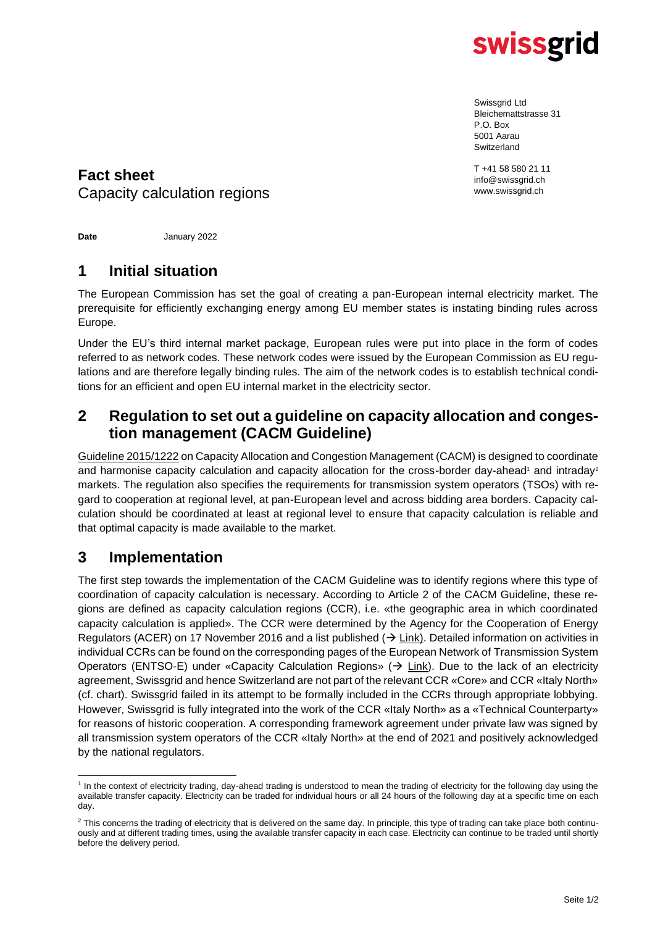

Swissgrid Ltd Bleichemattstrasse 31 P.O. Box 5001 Aarau Switzerland

T +41 58 580 21 11 info@swissgrid.ch www.swissgrid.ch

# **Fact sheet** Capacity calculation regions

**Date** January 2022

## **1 Initial situation**

The European Commission has set the goal of creating a pan-European internal electricity market. The prerequisite for efficiently exchanging energy among EU member states is instating binding rules across Europe.

Under the EU's third internal market package, European rules were put into place in the form of codes referred to as network codes. These network codes were issued by the European Commission as EU regulations and are therefore legally binding rules. The aim of the network codes is to establish technical conditions for an efficient and open EU internal market in the electricity sector.

#### **2 Regulation to set out a guideline on capacity allocation and congestion management (CACM Guideline)**

[Guideline 2015/1222](https://eur-lex.europa.eu/legal-content/EN/TXT/PDF/?uri=CELEX:32015R1222&from=DE) on Capacity Allocation and Congestion Management (CACM) is designed to coordinate and harmonise capacity calculation and capacity allocation for the cross-border day-ahead<sup>1</sup> and intraday<sup>2</sup> markets. The regulation also specifies the requirements for transmission system operators (TSOs) with regard to cooperation at regional level, at pan-European level and across bidding area borders. Capacity calculation should be coordinated at least at regional level to ensure that capacity calculation is reliable and that optimal capacity is made available to the market.

## **3 Implementation**

The first step towards the implementation of the CACM Guideline was to identify regions where this type of coordination of capacity calculation is necessary. According to Article 2 of the CACM Guideline, these regions are defined as capacity calculation regions (CCR), i.e. «the geographic area in which coordinated capacity calculation is applied». The CCR were determined by the Agency for the Cooperation of Energy Regulators (ACER) on 17 November 2016 and a list published  $(\rightarrow$  [Link\)](https://www.acer.europa.eu/Official_documents/Acts_of_the_Agency/Pages/Individual-decision.aspx). Detailed information on activities in individual CCRs can be found on the corresponding pages of the European Network of Transmission System Operators (ENTSO-E) under «Capacity Calculation Regions» ( $\rightarrow$  [Link\)](https://www.entsoe.eu/network_codes/ccr-regions/). Due to the lack of an electricity agreement, Swissgrid and hence Switzerland are not part of the relevant CCR «Core» and CCR «Italy North» (cf. chart). Swissgrid failed in its attempt to be formally included in the CCRs through appropriate lobbying. However, Swissgrid is fully integrated into the work of the CCR «Italy North» as a «Technical Counterparty» for reasons of historic cooperation. A corresponding framework agreement under private law was signed by all transmission system operators of the CCR «Italy North» at the end of 2021 and positively acknowledged by the national regulators.

<sup>&</sup>lt;sup>1</sup> In the context of electricity trading, day-ahead trading is understood to mean the trading of electricity for the following day using the available transfer capacity. Electricity can be traded for individual hours or all 24 hours of the following day at a specific time on each day.

<sup>&</sup>lt;sup>2</sup> This concerns the trading of electricity that is delivered on the same day. In principle, this type of trading can take place both continuously and at different trading times, using the available transfer capacity in each case. Electricity can continue to be traded until shortly before the delivery period.